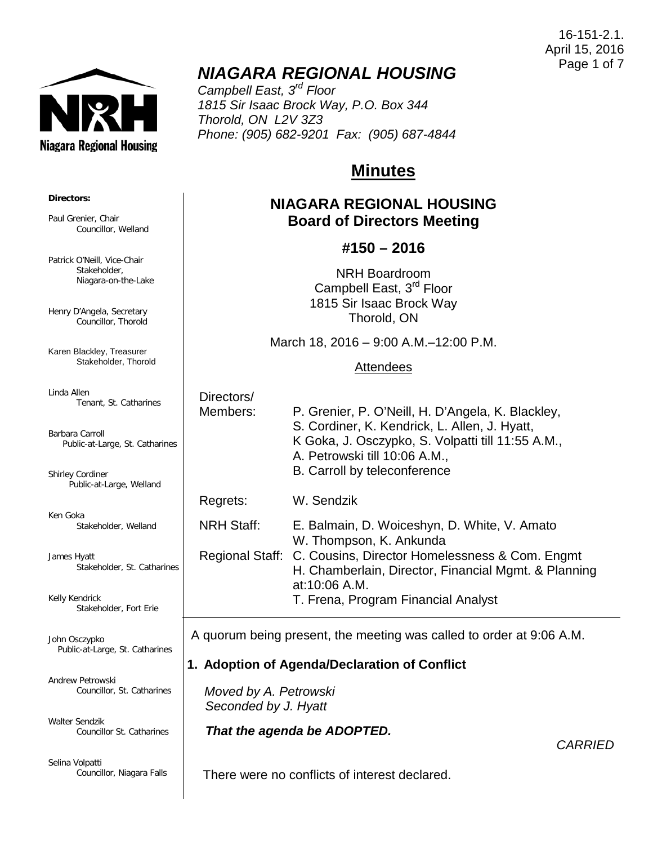16-151-2.1. April 15, 2016 Page 1 of 7



## *NIAGARA REGIONAL HOUSING*

*Campbell East, 3rd Floor 1815 Sir Isaac Brock Way, P.O. Box 344 Thorold, ON L2V 3Z3 Phone: (905) 682-9201 Fax: (905) 687-4844*

# **Minutes**

### **NIAGARA REGIONAL HOUSING Board of Directors Meeting**

#### **#150 – 2016**

NRH Boardroom Campbell East, 3<sup>rd</sup> Floor 1815 Sir Isaac Brock Way Thorold, ON

March 18, 2016 – 9:00 A.M.–12:00 P.M.

#### **Attendees**

| Directors/ |                                                   |
|------------|---------------------------------------------------|
| Members:   | P. Grenier, P. O'Neill, H. D'Angela, K. Blackley, |
|            | S. Cordiner, K. Kendrick, L. Allen, J. Hyatt,     |
|            | K Goka, J. Osczypko, S. Volpatti till 11:55 A.M., |
|            | A. Petrowski till 10:06 A.M.,                     |
|            |                                                   |

B. Carroll by teleconference

Regrets: W. Sendzik

NRH Staff: E. Balmain, D. Woiceshyn, D. White, V. Amato W. Thompson, K. Ankunda Regional Staff: C. Cousins, Director Homelessness & Com. Engmt H. Chamberlain, Director, Financial Mgmt. & Planning at:10:06 A.M. T. Frena, Program Financial Analyst

A quorum being present, the meeting was called to order at 9:06 A.M.

### **1. Adoption of Agenda/Declaration of Conflict**

 *Moved by A. Petrowski Seconded by J. Hyatt*

*That the agenda be ADOPTED.*

There were no conflicts of interest declared.

#### **Directors:**

Paul Grenier, Chair Councillor, Welland

Patrick O'Neill, Vice-Chair Stakeholder, Niagara-on-the-Lake

Henry D'Angela, Secretary Councillor, Thorold

Karen Blackley, Treasurer Stakeholder, Thorold

Linda Allen Tenant, St. Catharines

Barbara Carroll Public-at-Large, St. Catharines

Shirley Cordiner Public-at-Large, Welland

Ken Goka Stakeholder, Welland

James Hyatt Stakeholder, St. Catharines

Kelly Kendrick Stakeholder, Fort Erie

John Osczypko Public-at-Large, St. Catharines

Andrew Petrowski Councillor, St. Catharines

Walter Sendzik Councillor St. Catharines

Selina Volpatti Councillor, Niagara Falls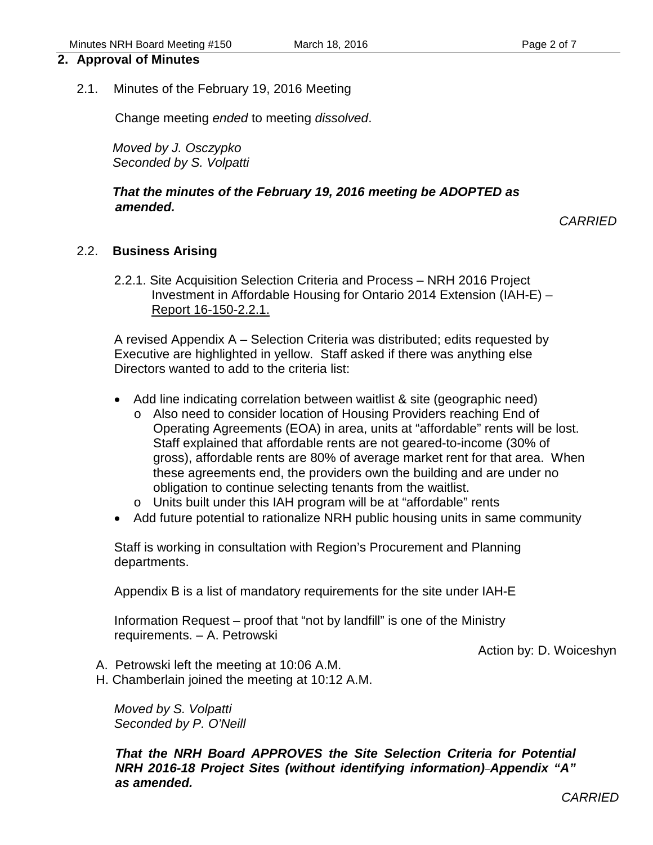#### **2. Approval of Minutes**

2.1. Minutes of the February 19, 2016 Meeting

Change meeting *ended* to meeting *dissolved*.

*Moved by J. Osczypko Seconded by S. Volpatti*

#### *That the minutes of the February 19, 2016 meeting be ADOPTED as amended.*

*CARRIED*

#### 2.2. **Business Arising**

2.2.1. Site Acquisition Selection Criteria and Process – NRH 2016 Project Investment in Affordable Housing for Ontario 2014 Extension (IAH-E) – Report 16-150-2.2.1.

A revised Appendix A – Selection Criteria was distributed; edits requested by Executive are highlighted in yellow. Staff asked if there was anything else Directors wanted to add to the criteria list:

- Add line indicating correlation between waitlist & site (geographic need)
	- o Also need to consider location of Housing Providers reaching End of Operating Agreements (EOA) in area, units at "affordable" rents will be lost. Staff explained that affordable rents are not geared-to-income (30% of gross), affordable rents are 80% of average market rent for that area. When these agreements end, the providers own the building and are under no obligation to continue selecting tenants from the waitlist.
	- o Units built under this IAH program will be at "affordable" rents
- Add future potential to rationalize NRH public housing units in same community

Staff is working in consultation with Region's Procurement and Planning departments.

Appendix B is a list of mandatory requirements for the site under IAH-E

Information Request – proof that "not by landfill" is one of the Ministry requirements. – A. Petrowski

Action by: D. Woiceshyn

- A. Petrowski left the meeting at 10:06 A.M.
- H. Chamberlain joined the meeting at 10:12 A.M.

*Moved by S. Volpatti Seconded by P. O'Neill*

*That the NRH Board APPROVES the Site Selection Criteria for Potential NRH 2016-18 Project Sites (without identifying information) Appendix "A" as amended.*

*CARRIED*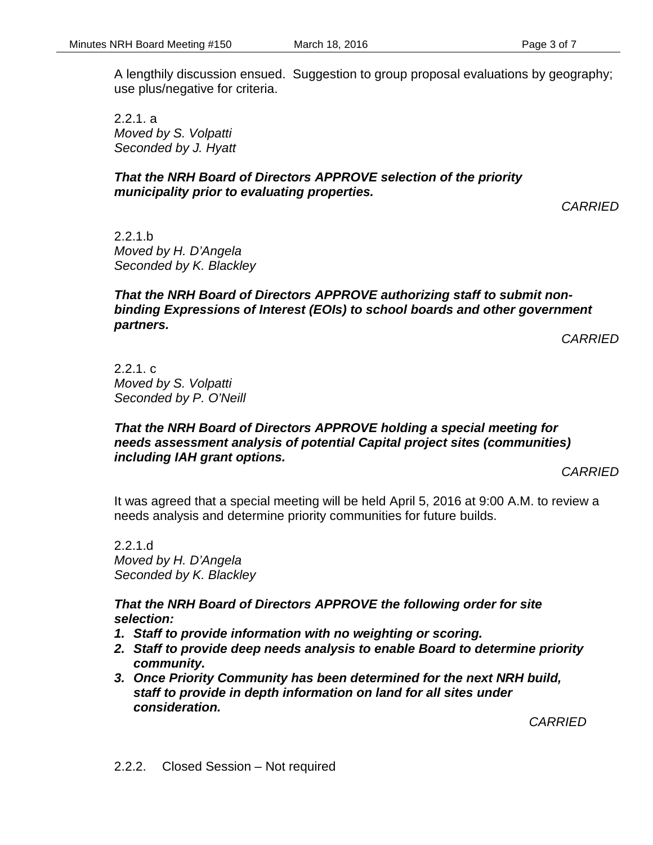A lengthily discussion ensued. Suggestion to group proposal evaluations by geography; use plus/negative for criteria.

2.2.1. a *Moved by S. Volpatti Seconded by J. Hyatt*

#### *That the NRH Board of Directors APPROVE selection of the priority municipality prior to evaluating properties.*

*CARRIED*

2.2.1.b *Moved by H. D'Angela Seconded by K. Blackley*

#### *That the NRH Board of Directors APPROVE authorizing staff to submit nonbinding Expressions of Interest (EOIs) to school boards and other government partners.*

*CARRIED*

2.2.1. c *Moved by S. Volpatti Seconded by P. O'Neill*

#### *That the NRH Board of Directors APPROVE holding a special meeting for needs assessment analysis of potential Capital project sites (communities) including IAH grant options.*

*CARRIED*

It was agreed that a special meeting will be held April 5, 2016 at 9:00 A.M. to review a needs analysis and determine priority communities for future builds.

2.2.1.d *Moved by H. D'Angela Seconded by K. Blackley*

*That the NRH Board of Directors APPROVE the following order for site selection:*

- *1. Staff to provide information with no weighting or scoring.*
- *2. Staff to provide deep needs analysis to enable Board to determine priority community.*
- *3. Once Priority Community has been determined for the next NRH build, staff to provide in depth information on land for all sites under consideration.*

*CARRIED*

2.2.2. Closed Session – Not required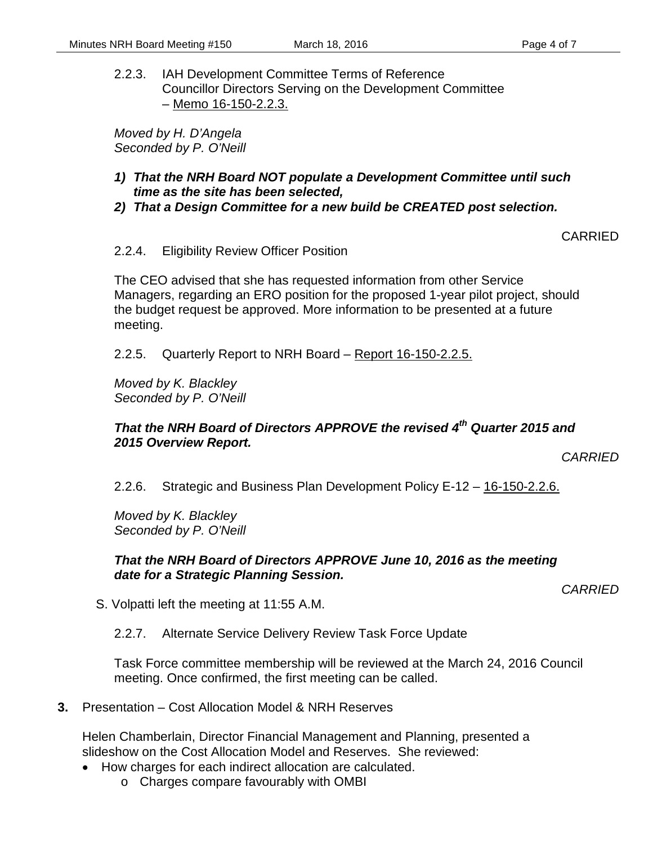2.2.3. IAH Development Committee Terms of Reference Councillor Directors Serving on the Development Committee – Memo 16-150-2.2.3.

*Moved by H. D'Angela Seconded by P. O'Neill*

- *1) That the NRH Board NOT populate a Development Committee until such time as the site has been selected,*
- *2) That a Design Committee for a new build be CREATED post selection.*

#### CARRIED

#### 2.2.4. Eligibility Review Officer Position

The CEO advised that she has requested information from other Service Managers, regarding an ERO position for the proposed 1-year pilot project, should the budget request be approved. More information to be presented at a future meeting.

2.2.5. Quarterly Report to NRH Board – Report 16-150-2.2.5.

*Moved by K. Blackley Seconded by P. O'Neill*

#### *That the NRH Board of Directors APPROVE the revised 4th Quarter 2015 and 2015 Overview Report.*

*CARRIED*

2.2.6. Strategic and Business Plan Development Policy E-12 – 16-150-2.2.6.

*Moved by K. Blackley Seconded by P. O'Neill*

#### *That the NRH Board of Directors APPROVE June 10, 2016 as the meeting date for a Strategic Planning Session.*

*CARRIED*

S. Volpatti left the meeting at 11:55 A.M.

2.2.7. Alternate Service Delivery Review Task Force Update

Task Force committee membership will be reviewed at the March 24, 2016 Council meeting. Once confirmed, the first meeting can be called.

**3.** Presentation – Cost Allocation Model & NRH Reserves

Helen Chamberlain, Director Financial Management and Planning, presented a slideshow on the Cost Allocation Model and Reserves. She reviewed:

- How charges for each indirect allocation are calculated.
	- o Charges compare favourably with OMBI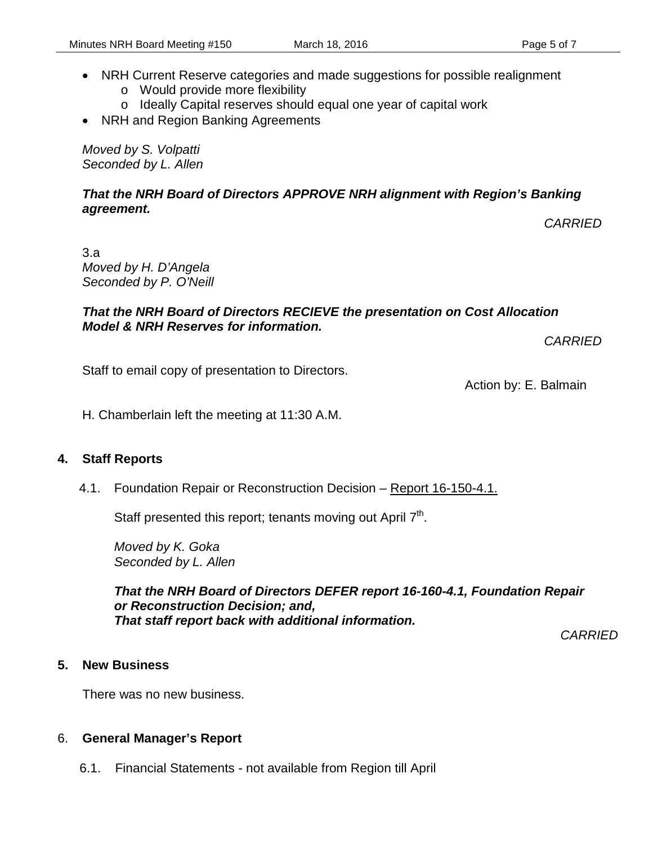- NRH Current Reserve categories and made suggestions for possible realignment
	- o Would provide more flexibility
	- o Ideally Capital reserves should equal one year of capital work
- NRH and Region Banking Agreements

*Moved by S. Volpatti Seconded by L. Allen*

#### *That the NRH Board of Directors APPROVE NRH alignment with Region's Banking agreement.*

*CARRIED*

3.a *Moved by H. D'Angela Seconded by P. O'Neill*

#### *That the NRH Board of Directors RECIEVE the presentation on Cost Allocation Model & NRH Reserves for information.*

*CARRIED*

Staff to email copy of presentation to Directors.

Action by: E. Balmain

H. Chamberlain left the meeting at 11:30 A.M.

#### **4. Staff Reports**

4.1. Foundation Repair or Reconstruction Decision – Report 16-150-4.1.

Staff presented this report; tenants moving out April  $7<sup>th</sup>$ .

*Moved by K. Goka Seconded by L. Allen*

#### *That the NRH Board of Directors DEFER report 16-160-4.1, Foundation Repair or Reconstruction Decision; and, That staff report back with additional information.*

*CARRIED*

#### **5. New Business**

There was no new business.

#### 6. **General Manager's Report**

6.1. Financial Statements - not available from Region till April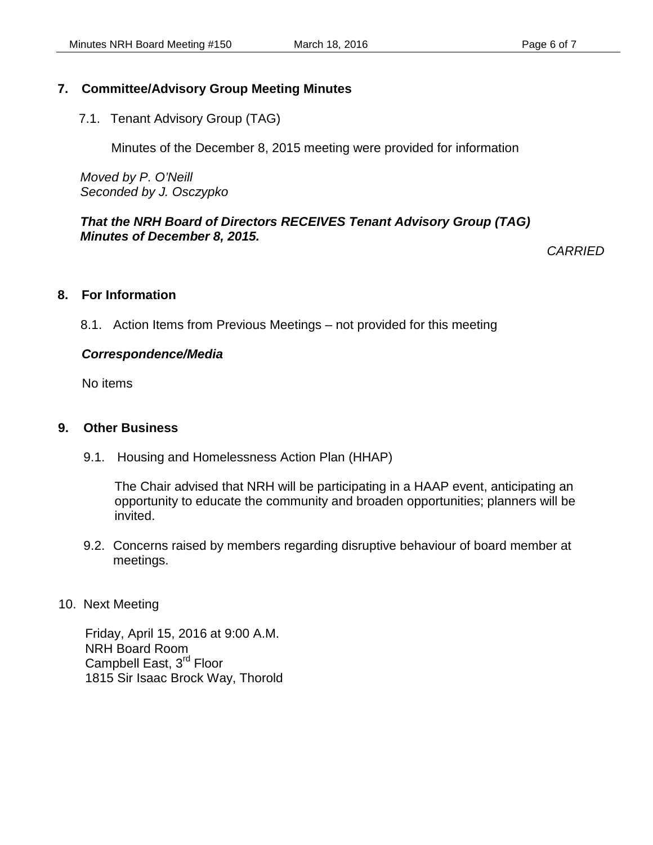#### **7. Committee/Advisory Group Meeting Minutes**

7.1. Tenant Advisory Group (TAG)

Minutes of the December 8, 2015 meeting were provided for information

*Moved by P. O'Neill Seconded by J. Osczypko*

#### *That the NRH Board of Directors RECEIVES Tenant Advisory Group (TAG) Minutes of December 8, 2015.*

*CARRIED*

#### **8. For Information**

8.1. Action Items from Previous Meetings – not provided for this meeting

#### *Correspondence/Media*

No items

#### **9. Other Business**

9.1. Housing and Homelessness Action Plan (HHAP)

The Chair advised that NRH will be participating in a HAAP event, anticipating an opportunity to educate the community and broaden opportunities; planners will be invited.

9.2. Concerns raised by members regarding disruptive behaviour of board member at meetings.

#### 10. Next Meeting

Friday, April 15, 2016 at 9:00 A.M. NRH Board Room Campbell East, 3<sup>rd</sup> Floor 1815 Sir Isaac Brock Way, Thorold